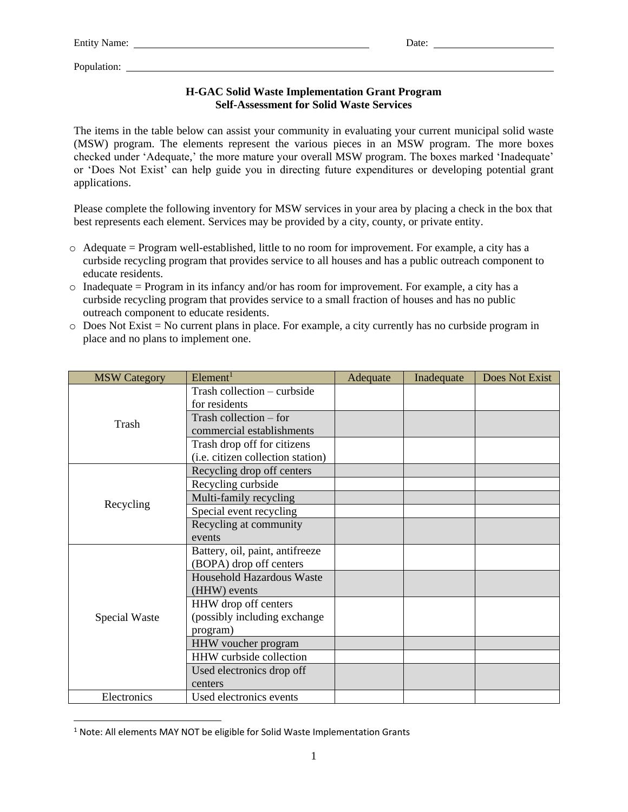## **H-GAC Solid Waste Implementation Grant Program Self-Assessment for Solid Waste Services**

The items in the table below can assist your community in evaluating your current municipal solid waste (MSW) program. The elements represent the various pieces in an MSW program. The more boxes checked under 'Adequate,' the more mature your overall MSW program. The boxes marked 'Inadequate' or 'Does Not Exist' can help guide you in directing future expenditures or developing potential grant applications.

Please complete the following inventory for MSW services in your area by placing a check in the box that best represents each element. Services may be provided by a city, county, or private entity.

- o Adequate = Program well-established, little to no room for improvement. For example, a city has a curbside recycling program that provides service to all houses and has a public outreach component to educate residents.
- $\circ$  Inadequate = Program in its infancy and/or has room for improvement. For example, a city has a curbside recycling program that provides service to a small fraction of houses and has no public outreach component to educate residents.
- $\circ$  Does Not Exist = No current plans in place. For example, a city currently has no curbside program in place and no plans to implement one.

| <b>MSW Category</b> | Element <sup>1</sup>              | Adequate | Inadequate | <b>Does Not Exist</b> |
|---------------------|-----------------------------------|----------|------------|-----------------------|
| Trash               | Trash collection – curbside       |          |            |                       |
|                     | for residents                     |          |            |                       |
|                     | Trash collection $-$ for          |          |            |                       |
|                     | commercial establishments         |          |            |                       |
|                     | Trash drop off for citizens       |          |            |                       |
|                     | (i.e. citizen collection station) |          |            |                       |
| Recycling           | Recycling drop off centers        |          |            |                       |
|                     | Recycling curbside                |          |            |                       |
|                     | Multi-family recycling            |          |            |                       |
|                     | Special event recycling           |          |            |                       |
|                     | Recycling at community            |          |            |                       |
|                     | events                            |          |            |                       |
| Special Waste       | Battery, oil, paint, antifreeze   |          |            |                       |
|                     | (BOPA) drop off centers           |          |            |                       |
|                     | <b>Household Hazardous Waste</b>  |          |            |                       |
|                     | (HHW) events                      |          |            |                       |
|                     | HHW drop off centers              |          |            |                       |
|                     | (possibly including exchange      |          |            |                       |
|                     | program)                          |          |            |                       |
|                     | HHW voucher program               |          |            |                       |
|                     | HHW curbside collection           |          |            |                       |
|                     | Used electronics drop off         |          |            |                       |
|                     | centers                           |          |            |                       |
| Electronics         | Used electronics events           |          |            |                       |

<sup>&</sup>lt;sup>1</sup> Note: All elements MAY NOT be eligible for Solid Waste Implementation Grants